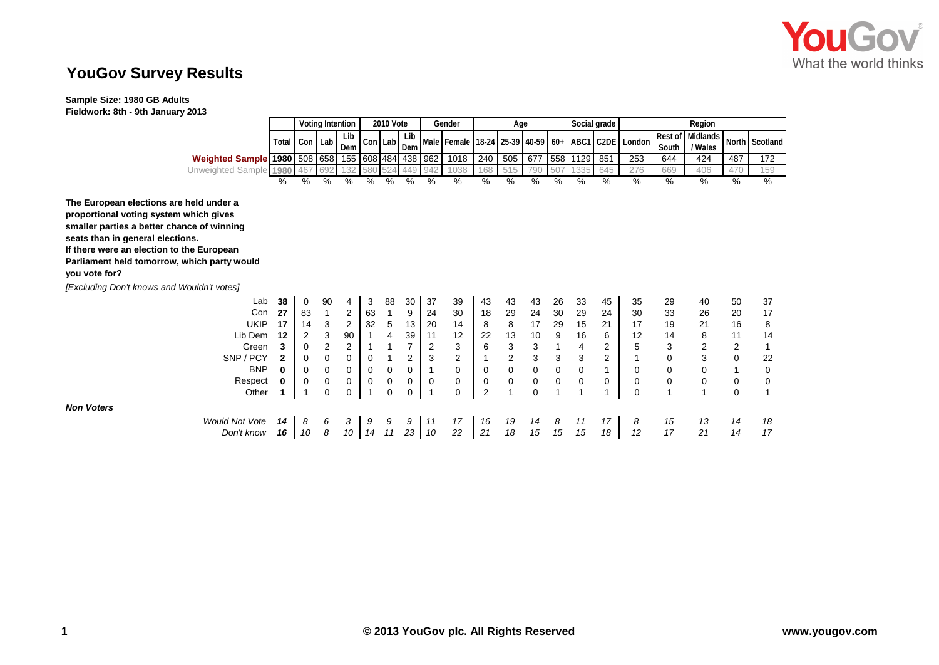

## **YouGov Survey Results**

**Sample Size: 1980 GB Adults** 

**Fieldwork: 8th - 9th January 2013**

|                                                                                                                                                                                                                                                                                  |                   | <b>Voting Intention</b> |              |                         | <b>2010 Vote</b> |               |                      |                   | Gender            | Age            |                                        |             |               |                  | Social grade                   | Region               |          |                             |                  |                |
|----------------------------------------------------------------------------------------------------------------------------------------------------------------------------------------------------------------------------------------------------------------------------------|-------------------|-------------------------|--------------|-------------------------|------------------|---------------|----------------------|-------------------|-------------------|----------------|----------------------------------------|-------------|---------------|------------------|--------------------------------|----------------------|----------|-----------------------------|------------------|----------------|
|                                                                                                                                                                                                                                                                                  | Total             | Con Lab                 |              | Lib<br>Dem              |                  | Con Lab       | Lib<br>Dem           |                   | Male Female 18-24 |                |                                        | 25-39 40-59 |               |                  |                                | 60+ ABC1 C2DE London | South    | Rest of Midlands<br>/ Wales |                  | North Scotland |
| Weighted Sample 1980 508 658                                                                                                                                                                                                                                                     |                   |                         |              | 155 608 484 438         |                  |               |                      | 962               | 1018              | 240            | 505                                    | 677         |               | 558 1129         | 851                            | 253                  | 644      | 424                         | 487              | 172            |
| Unweighted Sample 1980                                                                                                                                                                                                                                                           |                   | 467                     | 692          |                         |                  |               | 449                  | 942               | 1038              | 168            | 515                                    | 790         | 507           | 1335             | 645                            | 276                  | 669      | 406                         | 470              | 159            |
|                                                                                                                                                                                                                                                                                  | ℅                 | %                       | %            | $\frac{9}{6}$           | $\frac{9}{6}$    | $\frac{1}{2}$ | %                    | $\%$              | %                 | %              | $\frac{1}{\sqrt{2}}$                   | ℅           | $\frac{9}{6}$ | %                | $\%$                           | %                    | $\%$     | $\frac{9}{6}$               | %                | $\frac{9}{6}$  |
| The European elections are held under a<br>proportional voting system which gives<br>smaller parties a better chance of winning<br>seats than in general elections.<br>If there were an election to the European<br>Parliament held tomorrow, which party would<br>you vote for? |                   |                         |              |                         |                  |               |                      |                   |                   |                |                                        |             |               |                  |                                |                      |          |                             |                  |                |
| [Excluding Don't knows and Wouldn't votes]                                                                                                                                                                                                                                       |                   |                         |              |                         |                  |               |                      |                   |                   |                |                                        |             |               |                  |                                |                      |          |                             |                  |                |
| Lab                                                                                                                                                                                                                                                                              | 38                | 0                       | 90           | 4                       | 3                | 88            | 30                   | 37                | 39                | 43             | 43                                     | 43          | 26            | 33               | 45                             | 35                   | 29       | 40                          | 50               | 37             |
| Con                                                                                                                                                                                                                                                                              | 27                | 83                      | $\mathbf{1}$ | 2                       | 63               | 1             | 9                    | 24                | 30                | 18             | 29                                     | 24          | 30            | 29               | 24                             | 30                   | 33       | 26                          | 20               | 17             |
| <b>UKIP</b>                                                                                                                                                                                                                                                                      | 17                | 14                      | 3            | $\overline{\mathbf{c}}$ | 32               | 5             | 13                   | 20                | 14                | 8              | 8                                      | 17          | 29            | 15               | 21                             | 17                   | 19       | 21                          | 16               | 8              |
| Lib Dem                                                                                                                                                                                                                                                                          | 12                | 2                       | 3            | 90                      |                  | 4             | 39<br>$\overline{7}$ | 11                | 12                | 22             | 13                                     | 10          | 9             | 16               | 6                              | 12                   | 14       | 8                           | 11               | 14             |
| Green<br>SNP / PCY                                                                                                                                                                                                                                                               | 3                 | $\Omega$                | $\mathbf 2$  | $\overline{2}$          |                  |               |                      | $\overline{2}$    | 3                 | 6              | 3                                      | 3<br>3      | 1             | 4                | $\overline{2}$                 | 5<br>1               | 3        | $\boldsymbol{2}$<br>3       | $\overline{2}$   |                |
| <b>BNP</b>                                                                                                                                                                                                                                                                       | $\mathbf{2}$<br>0 | $\Omega$<br>0           | 0<br>0       | 0<br>0                  | 0<br>0           | 0             | 2<br>0               | 3<br>$\mathbf{1}$ | 2<br>$\Omega$     | $\mathbf 0$    | $\overline{\mathbf{c}}$<br>$\mathsf 0$ | $\pmb{0}$   | 3<br>0        | 3<br>$\mathbf 0$ | $\overline{2}$<br>$\mathbf{1}$ | $\mathbf 0$          | 0<br>0   | 0                           | $\mathbf 0$<br>1 | 22<br>0        |
|                                                                                                                                                                                                                                                                                  |                   | $\mathbf 0$             | 0            | 0                       | 0                | 0             | 0                    | $\mathbf 0$       | 0                 | 0              | $\pmb{0}$                              | $\mathsf 0$ | 0             | 0                | 0                              | 0                    | 0        | 0                           | 0                | 0              |
| Respect<br>Other                                                                                                                                                                                                                                                                 |                   | 1                       | $\Omega$     | 0                       |                  | 0             | 0                    | $\overline{1}$    | $\Omega$          | $\overline{2}$ |                                        | $\mathbf 0$ |               |                  |                                | $\Omega$             |          |                             | 0                |                |
| <b>Non Voters</b>                                                                                                                                                                                                                                                                |                   |                         |              |                         |                  |               |                      |                   |                   |                |                                        |             |               |                  |                                |                      |          |                             |                  |                |
| <b>Would Not Vote</b><br>Don't know                                                                                                                                                                                                                                              | 14<br>16          | 8<br>10                 | 6<br>8       | 3<br>10                 | 9<br>14          | 9<br>11       | 9<br>23              | 11<br>10          | 17<br>22          | 16<br>21       | 19<br>18                               | 14<br>15    | 8<br>15       | 11<br>15         | 17<br>18                       | 8<br>12              | 15<br>17 | 13<br>21                    | 14<br>14         | 18<br>17       |